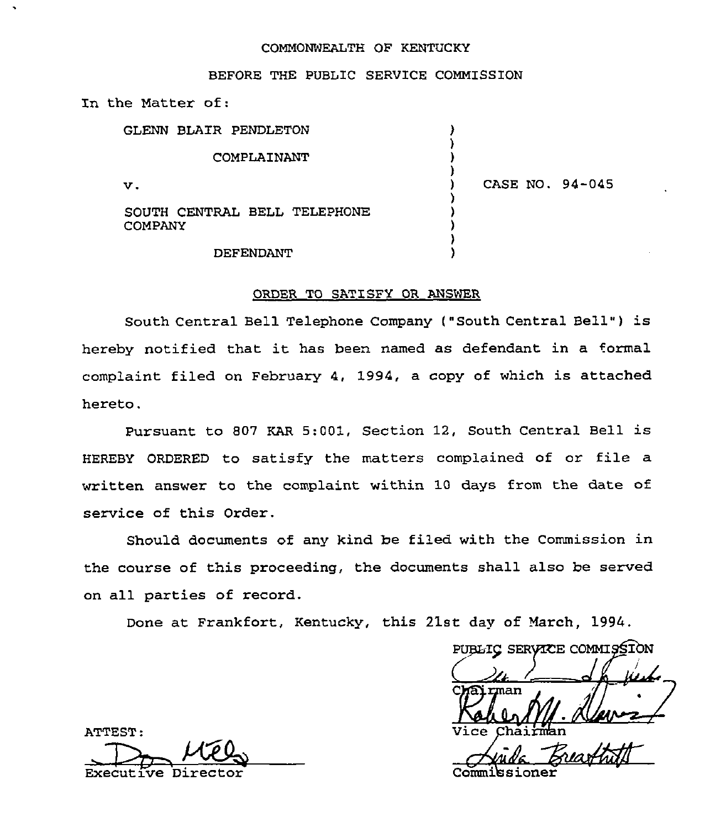#### COMMONWEALTH OF KENTUCKY

#### BEFORE THE PUBLIC SERVICE COMMISSION

In the Matter of:

| GLENN BLAIR PENDLETON                   |                 |
|-----------------------------------------|-----------------|
| COMPLAINANT                             |                 |
| v.                                      | CASE NO. 94-045 |
| SOUTH CENTRAL BELL TELEPHONE<br>COMPANY |                 |

## DEFENDANT

#### ORDER TO SATISFY OR ANSWER

)

South Central Bell Telephone Company ("South Central Bell") is hereby notified that it has been named as defendant in <sup>a</sup> formal complaint filed on February 4, 1994, a copy of which is attached hereto.

Pursuant to <sup>807</sup> KAR 5:001, Section 12, South Central Bell is HEREBY ORDERED to satisfy the matters complained of or file a written answer to the complaint within 10 days from the date of service of this Order.

Should documents of any kind be filed with the Commission in the course of this proceeding, the documents shall also be served on all parties of record.

Done at Frankfort, Kentucky, this 21st day of March, 1994.

PUBLIC SERVICE COMMISSION rman Vice

ATTEST: Executive Director Commissioner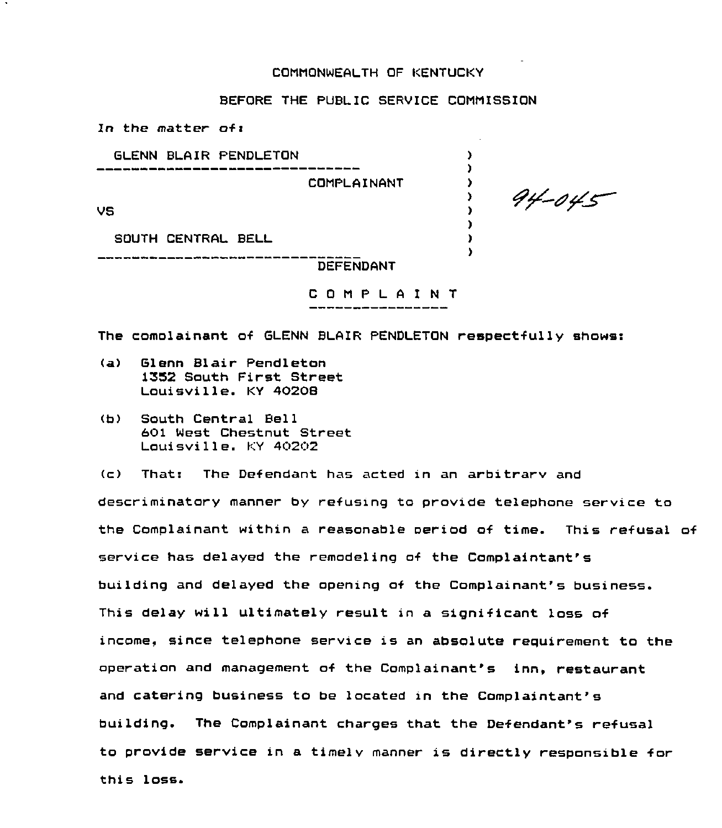## COMMONWEALTH OF KENTUCKY

# BEFORE THE PUBLIC SERVICE COMMISSION

In the matter of: GLENN BLAIR PENDLETON  $\Delta$  $\mathbf{r}$ COMPLAINANT  $\mathbf{\Sigma}$  $\mathbf{\Sigma}$ VS  $\mathbf{r}$  $\mathbf{r}$ SOUTH CENTRAL BELL  $\mathbf{r}$  $\lambda$ DEFENDANT

 $94 - 045$ 

C 0 <sup>M</sup> P L <sup>A</sup> I <sup>N</sup> T

The comolainant of GLENN BLAIR PENDLETON respectfully shows:

- (a) Glenn Blair Pendleton i352 South First Street Louisville. KY 40208
- (b) South Central Bell 601 West Chestnut Street Louisville. KY 40202

(c) That: The Defendant has acted zn an arbitrarv and descriminatory manner by refusing to provide telephone service to the Complainant within a reasonable period of time. This refusal of service has delayed the remodeling of the Complaintant' building and delayed the opening of the Complainant's business. This delay will ultimately result in a significant loss of income, since telephone service is an absolute requirement to the operation and management of the Complainant's inn, restaurant and catering business to be located in the Complaintant's building. The Complainant charges that the Defendant's refusal to provide service in a timely manner is directly responsible for this loss.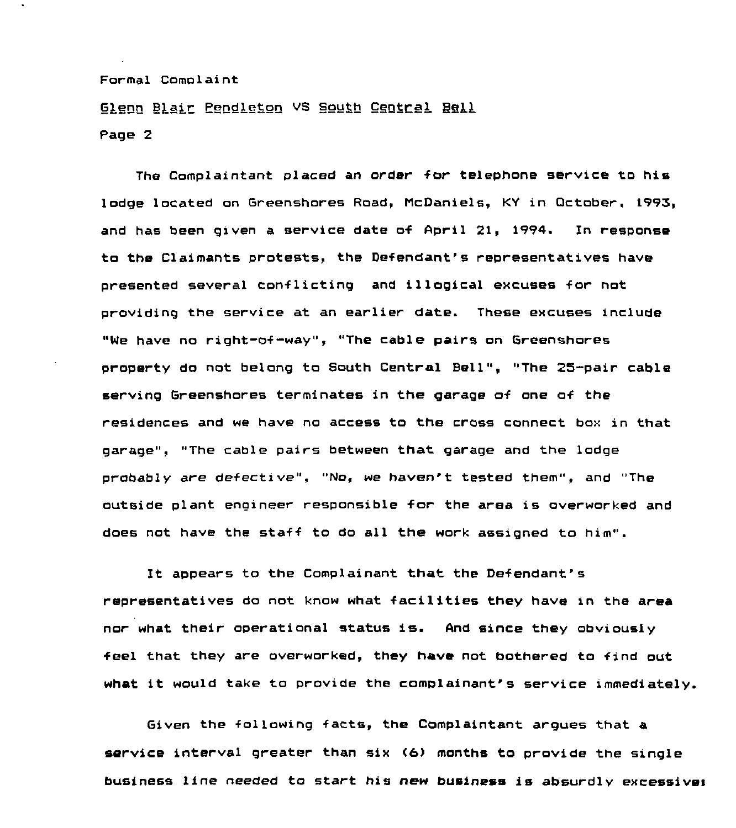# Glenn Blair Pendleton VS South Central Bell Page 2

The Complaintant placed an order for telephone service to his lodge located on Greenshores Road, McDaniels, KY in October, 1995, and has been given a service date of April 21, 1994. In response to the Claimants protests, the Defendant's representatives have presented several conflicting and illogical excuses for not providing the service at an earlier date. These excuses include "We have no right-of-way", "The cable pairs on Greenshores property do not belong to South Central Bell", "The 25-pair cable serving Greenshores terminates in the garage of one of the residences and we have no access to the cross connect box in that garage", "The cable pairs between that garage and the lodge probably are defective", "No, we haven't tested them", and "The outside plant engineer responsible for the area xs overworked and does not have the staff to do all the work assigned to him".

It appears to the Complainant that the Defendant's representatives do not know what facilities they have in the area nor what their operational status is. And since they obviously feel that they are overworked, they have not bothered to find out what it would take to provide the complainant's service immediately.

Given the following facts, the Complaintant argues that a service interval greater than six (6) months to provide the single business line needed to start his new business is absurdlv excessives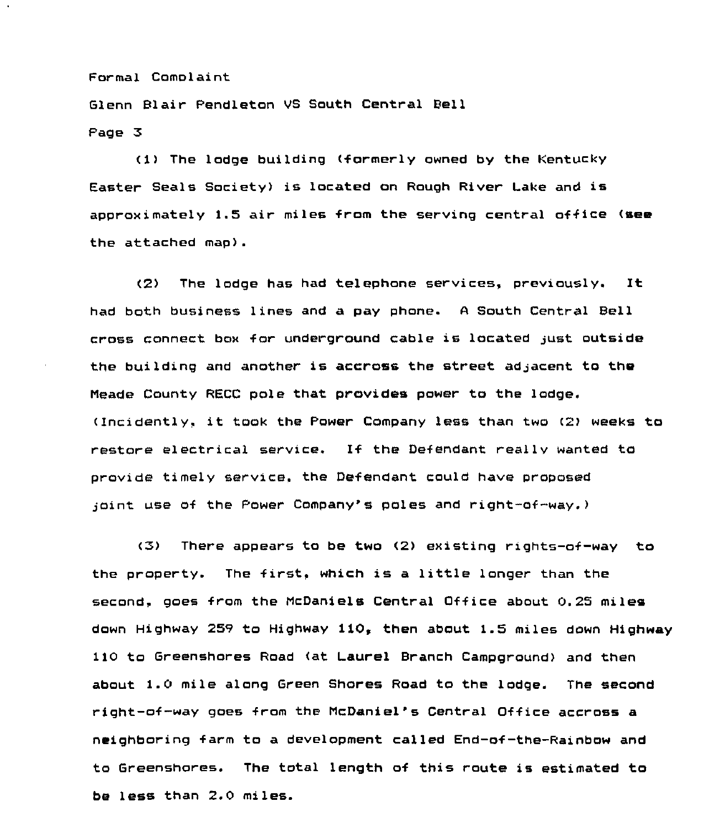Glenn Blair Pendleton VS South Central Bell Page 3

<1) The lodge building (formerly owned by the Kentucky Easter Seals Society) is located on Rough River Lake and is approximately 1.5 air miles from the serving central office (see the attached map).

(2> The lodge has had telephone services, previously. It had both business lines and a pay phone. <sup>A</sup> South Central Bell cross connect box for underground cable is located just outside the building and another is accross the street adjacent to the Meade County RECC pole that. provides power to the lodge. (Incidently, it took the Power Company less than two (2) weeks to restore electrical service. If the Defendant really wanted to provide timely service. the Defendant could have proposed ioint use of the Power Company's poles and right-of-way.)

<5) There appears to be two (2> existing rights-of-way to the property. The first, which is <sup>a</sup> little longer than the second, goes from the McDaniels Central Office about 0.25 miles down Highway 259 to Highway 110, then about 1.5 miles down Highway 110 to Greenshores Road (at Laurel Branch Campground) and then about 1.0 mile along Green Shores Road to the lodge. The second right-of-way goes from the McDaniel's Central Office accross a neighboring farm to a development called End-of-the-Rainbow and to Greenshores. The total length of this route is estimated to be less than 2.0 miles.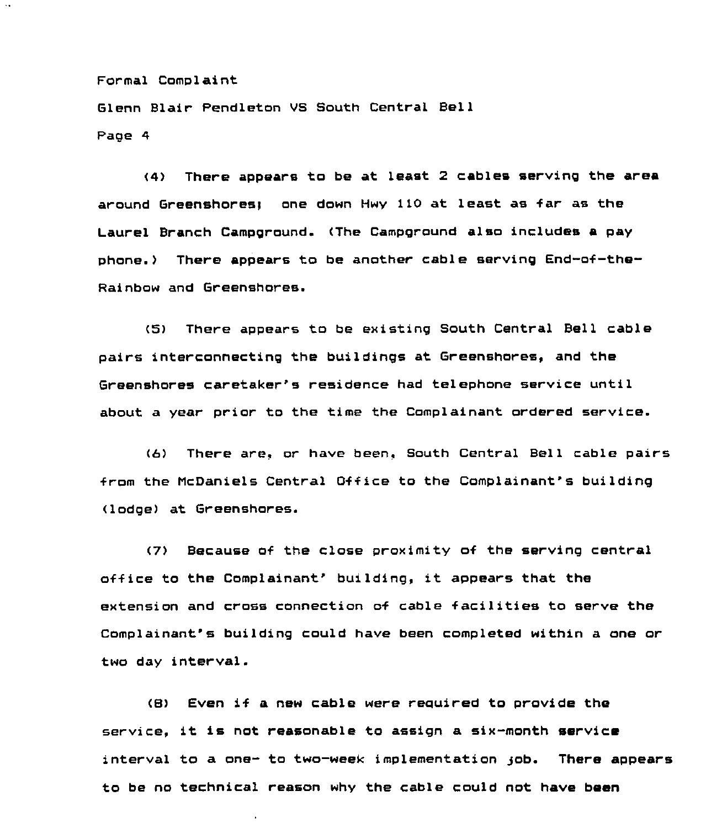Glenn Blair Pendleton VS South Central Bell Page 4

<4) There appears to be at least 2 cables serving the area around Greenshores) one down Hwy 110 at least as far as the Laurel Branch Campground. (The Campground also includes a pay phone.) There appears to be another cable serving End-of-the-Rainbow and Greenshores.

(5) There appears to be existing South Central Bell cable pairs interconnecting the buildings at Greenshores, and the Greenshores caretaker's residence had telephone service until about a year prior to the time the Complainant ordered service.

(6) There are, or have been, South Central Bell cable pairs from the McDaniels Central Office to the Complainant's building <lodge) at Greenshores.

(7) Because of the close proximity of the serving central  $office$  to the Complainant' building, it appears that the extension and cross connection of cable facilities to serve the Complainant's building could have been completed within a one or two day interval.

(8) Even if a new cable were reouired to provide the service, it is not reasonable to assign a six-month service interval to a one- to two-week implementation gob. There appears to be no technical reason why the cable could not have been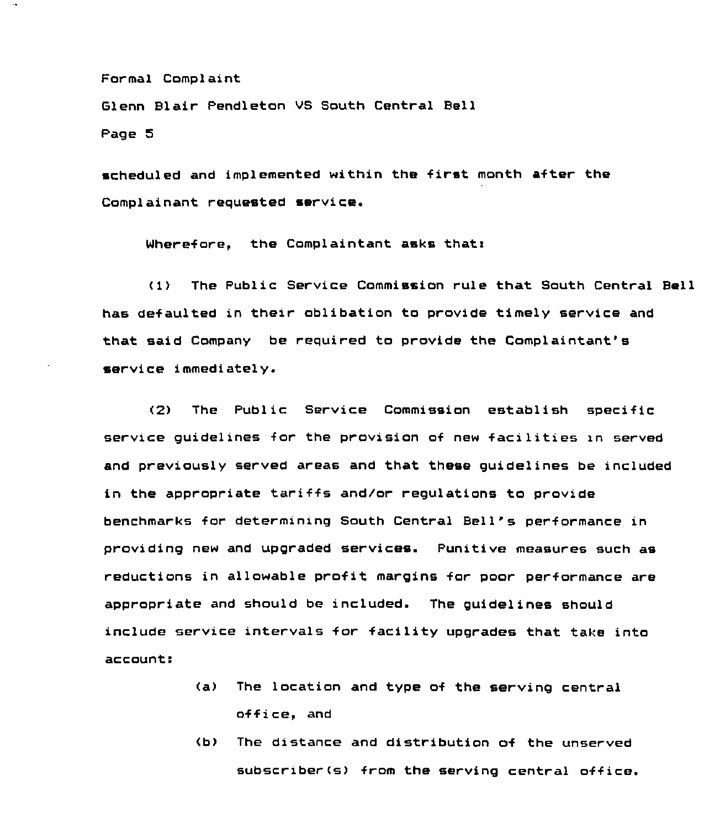Glenn Blair Pendleton VS South Central Bell

Page S

scheduled and implemented within the first month after the Complainant requested service.

Wherefore, the Complaintant asks that:

<1) The Public Service Commission rule that South Central Bell has defaulted in their oblibation to provide timely service and that said Company be required to provide the Complaintant' service immediately.

(2) The Public Service Commission establish specific service guidelines for the provision of new facilities xn served and previously served areas and that these guidelines be included in the appropriate tariffs and/or regulations to provide benchmarks for determining South Central Bell's performance in providing new and upgraded services. Punitive measures such as reductions in allowable profit margins for poor performance are appropriate and should be included. The guidelines should include service intervals for facility upgrades that take into  $account:$ 

- The location and type of the serving central  $(a)$ office, and
- <b) The distance and distribution of the unserved subscriber(s) from the serving central office.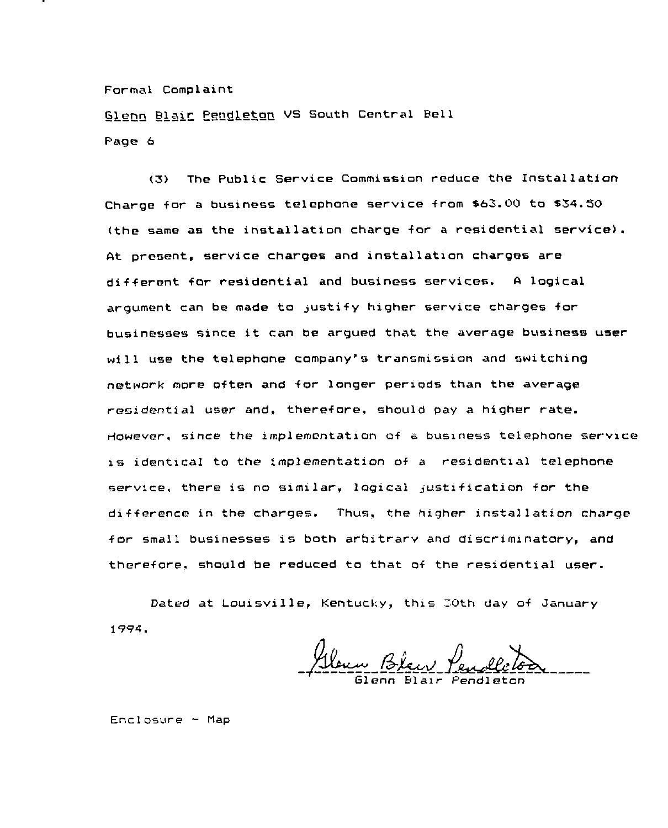Glenn Blair Pendleton VS South Central Bell Page 6

(3) The Public Service Commission reduce the Installation Charge for a business telephone service from S63.00 to \$34.50 (the same as the installation charge for a residential service). At present, service charges and installation charges are different for residential and business servires. <sup>A</sup> logical argument can be made to justify higher service charges for businesses since it can be argued that the average business user will use the telephone company's transmission and switching network more often and for longer periods than the average residential user and, therefore. should pay a higher rate. However, since the implementation of a business telephone service is identical to the implementation of <sup>a</sup> residential telephone service. there is no similar, logical justification for the difference in the charges. Thus, the higher installation charge for small businesses is both arbitrary and discriminatory, and therefore, should be reduced to that of the residential user.

Dated at Louisville, Kentucky, this 30th day of January <sup>1</sup> 994.

Glenn Blan Pendle

Enclosure — Map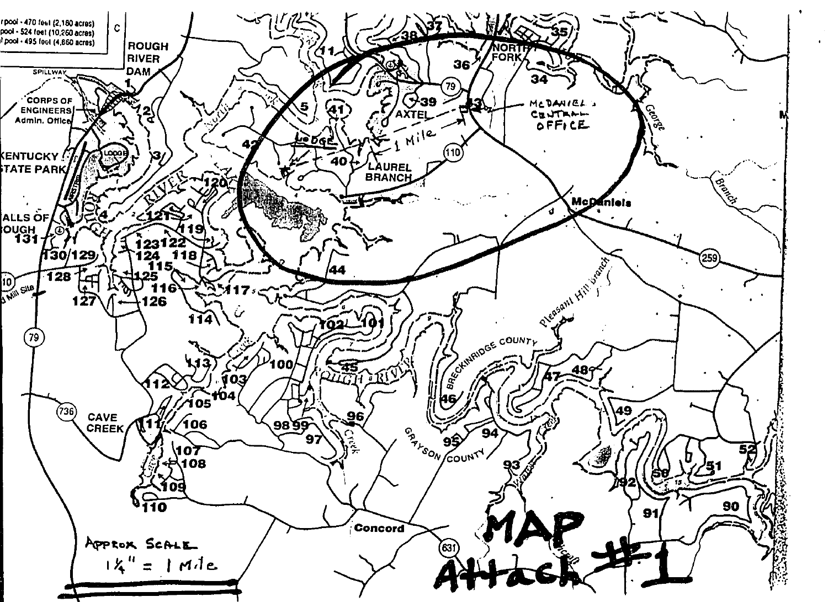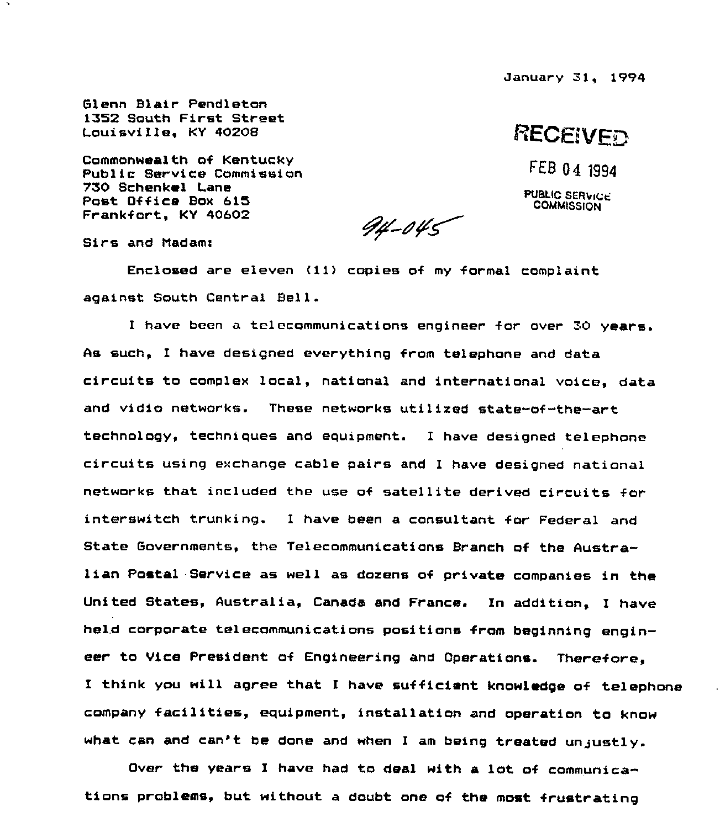January Sl, 1994

**RECEIVED** 

FEB 04 1994

PUBLIC SERVICE **COMMISSION** 

Glenn Blair Pendleton 1352 South First Street Louisville, KY 40208

Commonwealth of Kentucky Public Service Commission 750 Schenkel Lane Post Office Box 615 Frankfort, KY 40602

 $94 - 045$ 

Sirs and Madam:

Enclosed are eleven (li) copies of my formal complaint against South Central Bell.

I have been a telecommunications engineer for over 30 years. As such, I have designed everything from telephone and data circuits to complex local, natianal and international voice, data and vidio networks. These networks utilised state-of-the-art technology, techniques and equipment. I have designed telephone circuits using exchange cable pairs and I have designed national networks that included the use of satellite derived circuits for interswitch trunking. I have been a consultant for Federal and State Governments, the Telecommunications Branch of the Australian Postal. Service as well as dozens of private companies in the United States, Australia, Canada and France. In addition, I have held corporate telecommunications positions from beginning engineer to Vice President of Engineering and Operations. Therefore, I think you will agree that I have sufficient knowledge of telephone company facilities, equipment, installation and operation to know what can and can't be done and when <sup>I</sup> am being treated unjustly.

Over the years I have had to deal with a lot of communications problems, but without a doubt one of the most frustrating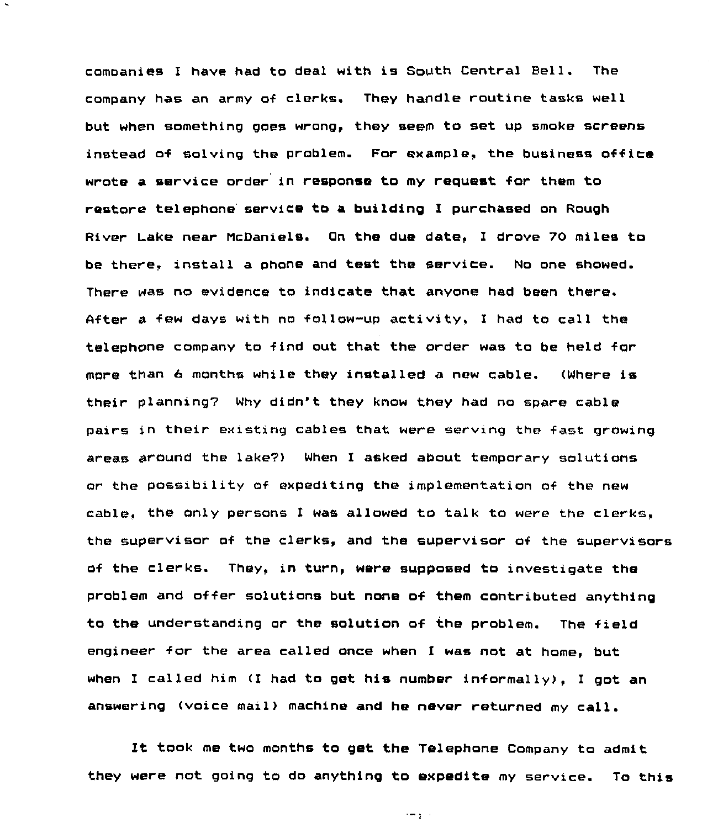companies <sup>I</sup> have had to deal with is South Central Bell. The company has an army of clerks. They handle routine tasks well but when something goes wrong, they seem to set up smoke screens instead of solving the problem. For example, the business office wrote a service order in response to my request for them to restore telephone service to a building I purchased on Rough River Lake near McDaniels. On the due date, I drove 70 miles to be there. install a phone and test the service. No one showed. There was no evidence to indicate that anyone had been there. 4fter a few days with no follow-up activity, I had to call the telephone company to find out that the order was to be held for more than 6 months while they installed a new cable. (Where is their planning7 Why didn"t they know they had no spare cable pairs in their existing cables that were serving the fast growing areas around the lake?) When I asked about temporary solutions or the possibility of expediting the implementation of the new cable, the only persons I was allowed to talk to were the clerks, the supervisor of the clerks, and the supervisor of the supervisors of the clerks. They, in turn, were supposed to investigate the problem and offer solutions but none of them contributed anything to the understanding or the solution of the problem. The field engineer for the area called once when I was not at home, but when I called him (I had to get his number informally), <sup>I</sup> got an answering (voice mail) machine and he never returned my call.

It took me two months to get the Telephone Company to admit they were not going to do anything to expedite my service. To this

 $\rightarrow -\frac{1}{2}$